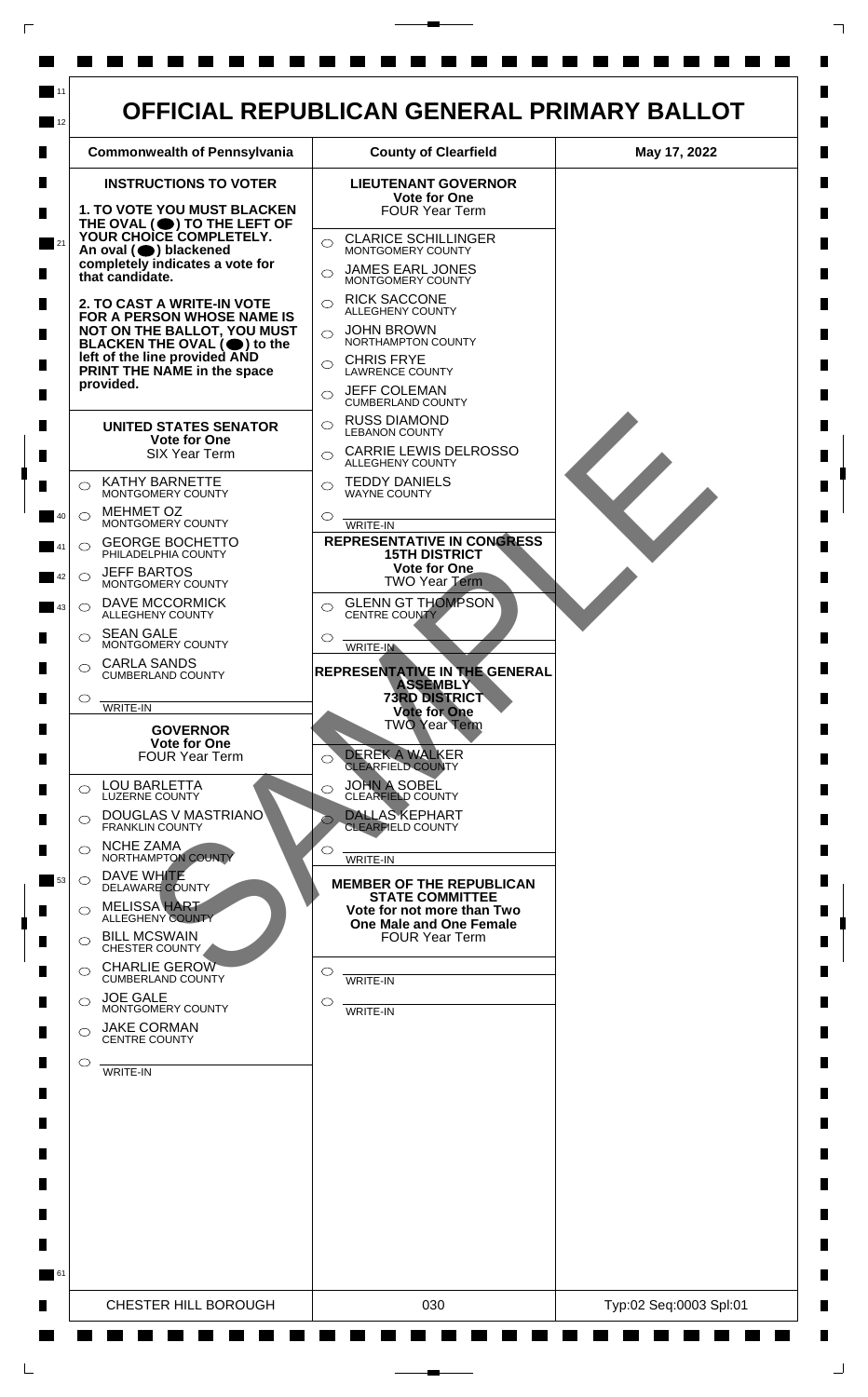

 $\mathsf{L}$ 

 $\Box$